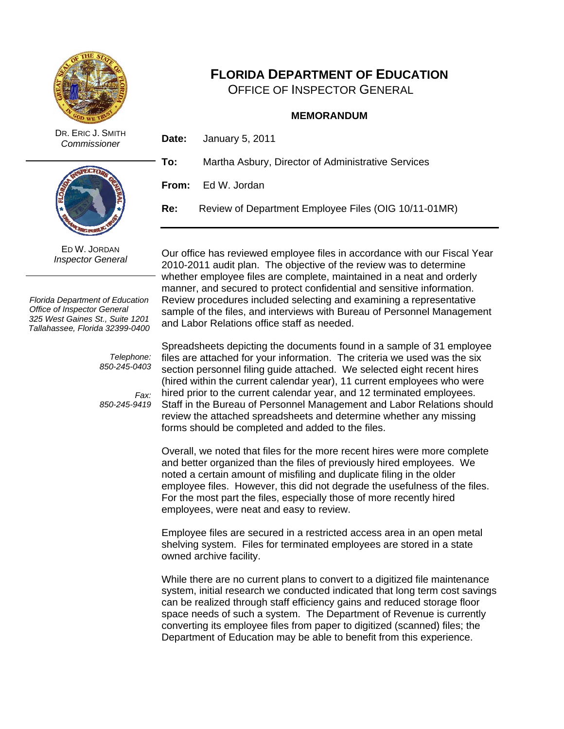

# **FLORIDA DEPARTMENT OF EDUCATION**

OFFICE OF INSPECTOR GENERAL

#### **MEMORANDUM**

 DR. ERIC J. SMITH *Commissioner* 



ED W. JORDAN *Inspector General* 

*Florida Department of Education Office of Inspector General 325 West Gaines St., Suite 1201 Tallahassee, Florida 32399-0400* 

> *Telephone: 850-245-0403*

> *Fax: 850-245-9419*

**To:** Martha Asbury, Director of Administrative Services

**From:** Ed W. Jordan

**Date:** January 5, 2011

**Re:** Review of Department Employee Files (OIG 10/11-01MR)

Our office has reviewed employee files in accordance with our Fiscal Year 2010-2011 audit plan. The objective of the review was to determine whether employee files are complete, maintained in a neat and orderly manner, and secured to protect confidential and sensitive information. Review procedures included selecting and examining a representative sample of the files, and interviews with Bureau of Personnel Management and Labor Relations office staff as needed.

Spreadsheets depicting the documents found in a sample of 31 employee files are attached for your information. The criteria we used was the six section personnel filing guide attached. We selected eight recent hires (hired within the current calendar year), 11 current employees who were hired prior to the current calendar year, and 12 terminated employees. Staff in the Bureau of Personnel Management and Labor Relations should review the attached spreadsheets and determine whether any missing forms should be completed and added to the files.

Overall, we noted that files for the more recent hires were more complete and better organized than the files of previously hired employees. We noted a certain amount of misfiling and duplicate filing in the older employee files. However, this did not degrade the usefulness of the files. For the most part the files, especially those of more recently hired employees, were neat and easy to review.

Employee files are secured in a restricted access area in an open metal shelving system. Files for terminated employees are stored in a state owned archive facility.

While there are no current plans to convert to a digitized file maintenance system, initial research we conducted indicated that long term cost savings can be realized through staff efficiency gains and reduced storage floor space needs of such a system. The Department of Revenue is currently converting its employee files from paper to digitized (scanned) files; the Department of Education may be able to benefit from this experience.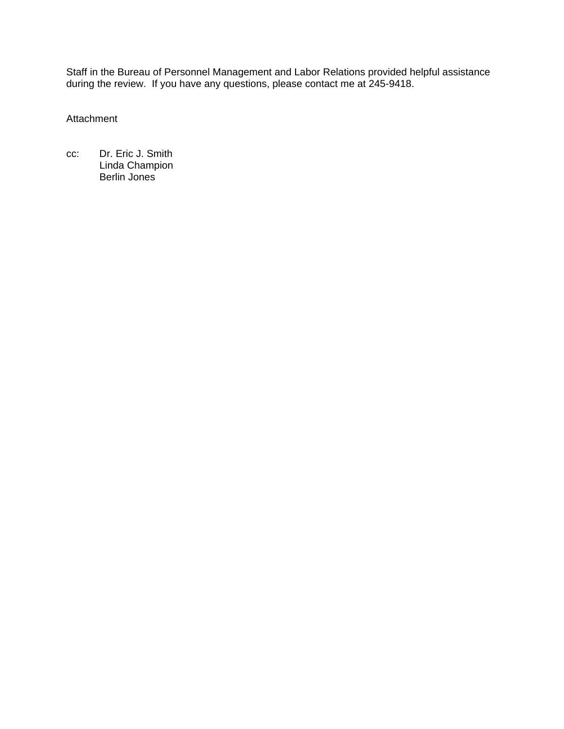Staff in the Bureau of Personnel Management and Labor Relations provided helpful assistance during the review. If you have any questions, please contact me at 245-9418.

Attachment

cc: Dr. Eric J. Smith Linda Champion Berlin Jones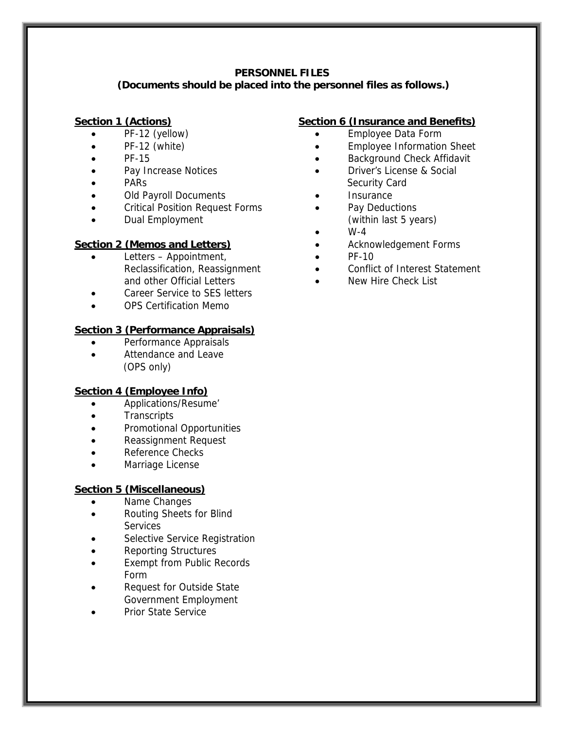#### **PERSONNEL FILES**

#### **(Documents should be placed into the personnel files as follows.)**

#### **Section 1 (Actions)**

- PF-12 (yellow)
- PF-12 (white)
- PF-15
- Pay Increase Notices
- PARs
- Old Payroll Documents
- Critical Position Request Forms
- Dual Employment

### **Section 2 (Memos and Letters)**

- and other Official Letters Letters – Appointment, Reclassification, Reassignment
- Career Service to SES letters
- OPS Certification Memo

### **Section 3 (Performance Appraisals)**

- Performance Appraisals
- Attendance and Leave (OPS only)

#### **Section 4 (Employee Info)**

- Applications/Resume'
- **•** Transcripts
- Promotional Opportunities
- Reassignment Request
- Reference Checks
- Marriage License

## **Section 5 (Miscellaneous)**

- Name Changes
- Routing Sheets for Blind **Services**
- Selective Service Registration
- Reporting Structures
- Exempt from Public Records Form
- Request for Outside State Government Employment
- Prior State Service

# **Section 6 (Insurance and Benefits)**

- Employee Data Form
- **Employee Information Sheet**
- **•** Background Check Affidavit
- Driver's License & Social Security Card
- **Insurance**
- Pay Deductions (within last 5 years)
- $\bullet$  W-4
- Acknowledgement Forms
- $\bullet$  PF-10
- Conflict of Interest Statement
- New Hire Check List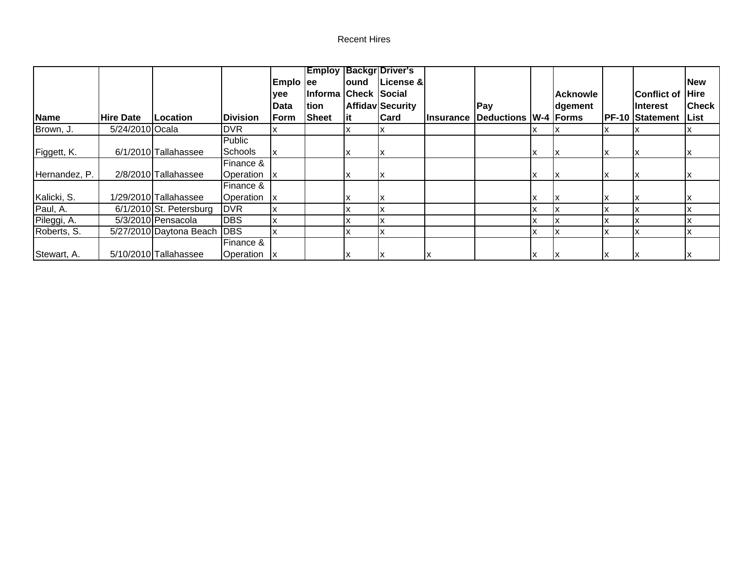#### **Recent Hires**

|               |                              |                                      |                 |           |                      |       | <b>Employ Backgr Driver's</b> |                  |                             |    |          |    |                        |              |
|---------------|------------------------------|--------------------------------------|-----------------|-----------|----------------------|-------|-------------------------------|------------------|-----------------------------|----|----------|----|------------------------|--------------|
|               |                              |                                      |                 | Emplo ee  |                      | lound | License &                     |                  |                             |    |          |    |                        | <b>New</b>   |
|               |                              |                                      |                 | lyee      | Informa Check Social |       |                               |                  |                             |    | Acknowle |    | <b>IConflict of</b>    | <b>Hire</b>  |
|               |                              |                                      |                 | lData     | ltion                |       | Affidav Security              |                  | Pay                         |    | dgement  |    | IInterest              | <b>Check</b> |
| <b>Name</b>   | lHire Date                   | Location                             | <b>Division</b> | Form      | Sheet                | lit   | <b>Card</b>                   | <b>Insurance</b> | <b>Deductions W-4 Forms</b> |    |          |    | <b>PF-10 Statement</b> | List         |
| Brown, J.     | $\overline{5/24}/2010$ Ocala |                                      | DVR.            | ΙX        |                      | ıx    | x                             |                  |                             |    |          |    |                        |              |
|               |                              |                                      | Public          |           |                      |       |                               |                  |                             |    |          |    |                        |              |
| Figgett, K.   |                              | 6/1/2010 Tallahassee                 | Schools         |           |                      | ΙX    | х                             |                  |                             | ΙX |          | ΙX |                        |              |
|               |                              |                                      | Finance &       |           |                      |       |                               |                  |                             |    |          |    |                        |              |
| Hernandez, P. |                              | 2/8/2010 Tallahassee                 | Operation       | -lx       |                      | ΙX    | х                             |                  |                             | X  |          | ΙX |                        |              |
|               |                              |                                      | Finance &       |           |                      |       |                               |                  |                             |    |          |    |                        |              |
| Kalicki, S.   |                              | 1/29/2010 Tallahassee                | Operation       | <u>lx</u> |                      | x     |                               |                  |                             | X  |          |    |                        |              |
| Paul, A.      |                              | $\overline{6/1/2010}$ St. Petersburg | <b>DVR</b>      | ΙX        |                      | x     | x                             |                  |                             |    |          |    |                        |              |
| Pileggi, A.   |                              | $5/3/2010$ Pensacola                 | <b>DBS</b>      | lχ        |                      | ΙX    | X                             |                  |                             |    |          | ΙX |                        |              |
| Roberts, S.   |                              | 5/27/2010 Daytona Beach              | <b>DBS</b>      | lχ        |                      | x     | x                             |                  |                             | X  |          | x  |                        |              |
|               |                              |                                      | Finance &       |           |                      |       |                               |                  |                             |    |          |    |                        |              |
| Stewart, A.   |                              | 5/10/2010 Tallahassee                | Operation       | -lx       |                      | ΙX    | ΙX                            |                  |                             | x  |          | ١x |                        |              |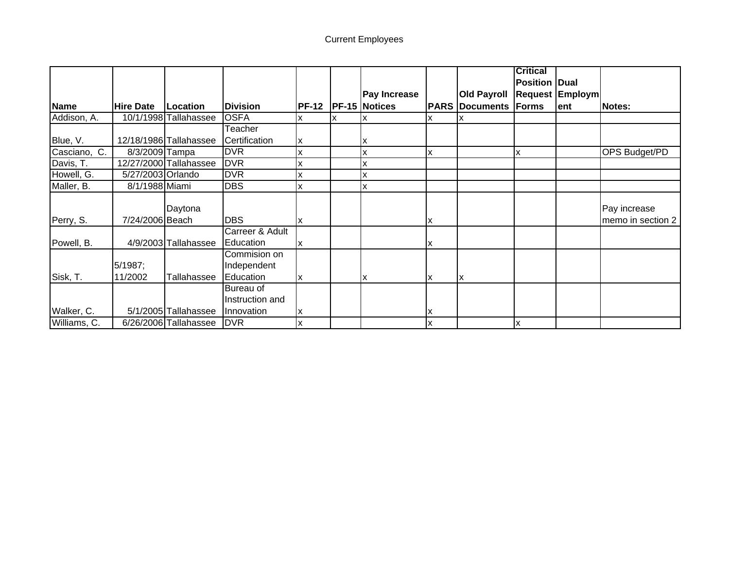# Current Employees

|              |                   |                        |                 |              |                      |   |                       | <b>Critical</b>      |                        |                      |
|--------------|-------------------|------------------------|-----------------|--------------|----------------------|---|-----------------------|----------------------|------------------------|----------------------|
|              |                   |                        |                 |              |                      |   |                       | <b>Position Dual</b> |                        |                      |
|              |                   |                        |                 |              | <b>Pay Increase</b>  |   | <b>Old Payroll</b>    |                      | <b>Request Employm</b> |                      |
| <b>Name</b>  | <b>Hire Date</b>  | Location               | <b>Division</b> | <b>PF-12</b> | <b>PF-15 Notices</b> |   | <b>PARS Documents</b> | Forms                | lent                   | <b>Notes:</b>        |
| Addison, A.  |                   | 10/1/1998 Tallahassee  | <b>OSFA</b>     |              |                      |   |                       |                      |                        |                      |
|              |                   |                        | Teacher         |              |                      |   |                       |                      |                        |                      |
| Blue, V.     |                   | 12/18/1986 Tallahassee | Certification   | x            | х                    |   |                       |                      |                        |                      |
| Casciano, C. | 8/3/2009 Tampa    |                        | <b>DVR</b>      |              | X                    | X |                       | X                    |                        | <b>OPS Budget/PD</b> |
| Davis, T.    |                   | 12/27/2000 Tallahassee | <b>DVR</b>      |              |                      |   |                       |                      |                        |                      |
| Howell, G.   | 5/27/2003 Orlando |                        | <b>DVR</b>      |              |                      |   |                       |                      |                        |                      |
| Maller, B.   | 8/1/1988 Miami    |                        | <b>DBS</b>      |              | X                    |   |                       |                      |                        |                      |
|              |                   |                        |                 |              |                      |   |                       |                      |                        |                      |
|              |                   | Daytona                |                 |              |                      |   |                       |                      |                        | Pay increase         |
| Perry, S.    | 7/24/2006 Beach   |                        | <b>DBS</b>      | x            |                      | x |                       |                      |                        | memo in section 2    |
|              |                   |                        | Carreer & Adult |              |                      |   |                       |                      |                        |                      |
| Powell, B.   |                   | 4/9/2003 Tallahassee   | Education       | ΙX           |                      | x |                       |                      |                        |                      |
|              |                   |                        | Commision on    |              |                      |   |                       |                      |                        |                      |
|              | 5/1987;           |                        | Independent     |              |                      |   |                       |                      |                        |                      |
| Sisk, T.     | 11/2002           | Tallahassee            | Education       |              | x                    |   | lχ                    |                      |                        |                      |
|              |                   |                        | Bureau of       |              |                      |   |                       |                      |                        |                      |
|              |                   |                        | Instruction and |              |                      |   |                       |                      |                        |                      |
| Walker, C.   |                   | 5/1/2005 Tallahassee   | Innovation      | x            |                      | x |                       |                      |                        |                      |
| Williams, C. |                   | 6/26/2006 Tallahassee  | <b>DVR</b>      | ΙX           |                      | х |                       | ΙX                   |                        |                      |